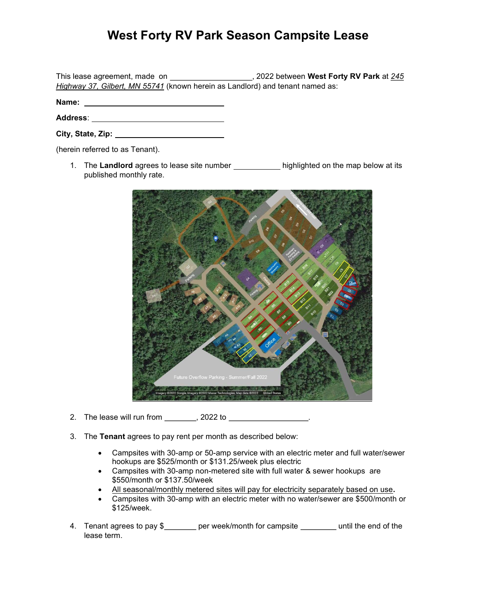## West Forty RV Park Season Campsite Lease

This lease agreement, made on  $\frac{1}{245}$ , 2022 between West Forty RV Park at  $\frac{245}{245}$ Highway 37, Gilbert, MN 55741 (known herein as Landlord) and tenant named as:

Name:

Address:

| City, State, Zip: |  |
|-------------------|--|
|                   |  |

(herein referred to as Tenant).

1. The Landlord agrees to lease site number \_\_\_\_\_\_\_\_\_\_\_\_\_ highlighted on the map below at its published monthly rate.



- 2. The lease will run from \_\_\_\_\_\_\_\_, 2022 to \_\_\_\_\_\_\_\_\_\_\_\_\_\_\_\_\_\_.
- 3. The Tenant agrees to pay rent per month as described below:
	- Campsites with 30-amp or 50-amp service with an electric meter and full water/sewer hookups are \$525/month or \$131.25/week plus electric
	- Campsites with 30-amp non-metered site with full water & sewer hookups are \$550/month or \$137.50/week
	- All seasonal/monthly metered sites will pay for electricity separately based on use.
	- Campsites with 30-amp with an electric meter with no water/sewer are \$500/month or \$125/week.
- 4. Tenant agrees to pay \$\_\_\_\_\_\_\_ per week/month for campsite \_\_\_\_\_\_\_\_ until the end of the lease term.